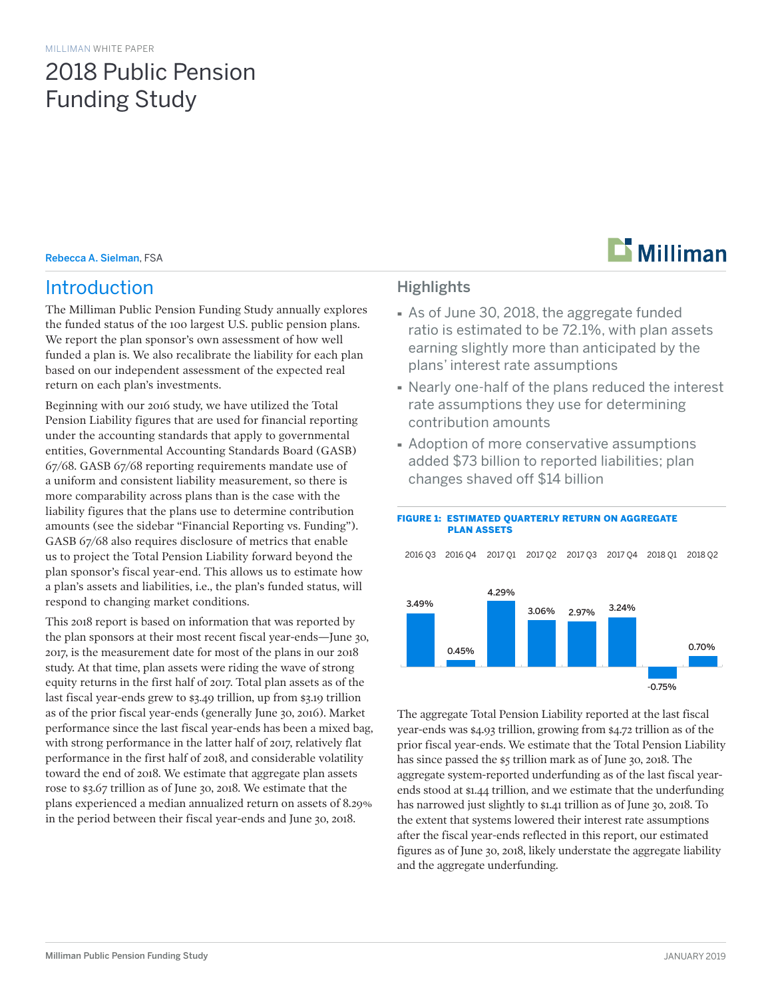## 2018 Public Pension Funding Study

#### Rebecca A. Sielman, FSA

### Introduction

The Milliman Public Pension Funding Study annually explores the funded status of the 100 largest U.S. public pension plans. We report the plan sponsor's own assessment of how well funded a plan is. We also recalibrate the liability for each plan based on our independent assessment of the expected real return on each plan's investments.

Beginning with our 2016 study, we have utilized the Total Pension Liability figures that are used for financial reporting under the accounting standards that apply to governmental entities, Governmental Accounting Standards Board (GASB) 67/68. GASB 67/68 reporting requirements mandate use of a uniform and consistent liability measurement, so there is more comparability across plans than is the case with the liability figures that the plans use to determine contribution amounts (see the sidebar "Financial Reporting vs. Funding"). GASB 67/68 also requires disclosure of metrics that enable us to project the Total Pension Liability forward beyond the plan sponsor's fiscal year-end. This allows us to estimate how a plan's assets and liabilities, i.e., the plan's funded status, will respond to changing market conditions.

This 2018 report is based on information that was reported by the plan sponsors at their most recent fiscal year-ends—June 30, 2017, is the measurement date for most of the plans in our 2018 study. At that time, plan assets were riding the wave of strong equity returns in the first half of 2017. Total plan assets as of the last fiscal year-ends grew to \$3.49 trillion, up from \$3.19 trillion as of the prior fiscal year-ends (generally June 30, 2016). Market performance since the last fiscal year-ends has been a mixed bag, with strong performance in the latter half of 2017, relatively flat performance in the first half of 2018, and considerable volatility toward the end of 2018. We estimate that aggregate plan assets rose to \$3.67 trillion as of June 30, 2018. We estimate that the plans experienced a median annualized return on assets of 8.29% in the period between their fiscal year-ends and June 30, 2018.

# **Milliman**

### **Highlights**

- · As of June 30, 2018, the aggregate funded ratio is estimated to be 72.1%, with plan assets earning slightly more than anticipated by the plans' interest rate assumptions
- · Nearly one-half of the plans reduced the interest rate assumptions they use for determining contribution amounts
- · Adoption of more conservative assumptions added \$73 billion to reported liabilities; plan changes shaved off \$14 billion

FIGURE 1: ESTIMATED QUARTERLY RETURN ON AGGREGATE



### The aggregate Total Pension Liability reported at the last fiscal year-ends was \$4.93 trillion, growing from \$4.72 trillion as of the prior fiscal year-ends. We estimate that the Total Pension Liability has since passed the \$5 trillion mark as of June 30, 2018. The aggregate system-reported underfunding as of the last fiscal yearends stood at \$1.44 trillion, and we estimate that the underfunding has narrowed just slightly to \$1.41 trillion as of June 30, 2018. To the extent that systems lowered their interest rate assumptions after the fiscal year-ends reflected in this report, our estimated figures as of June 30, 2018, likely understate the aggregate liability and the aggregate underfunding.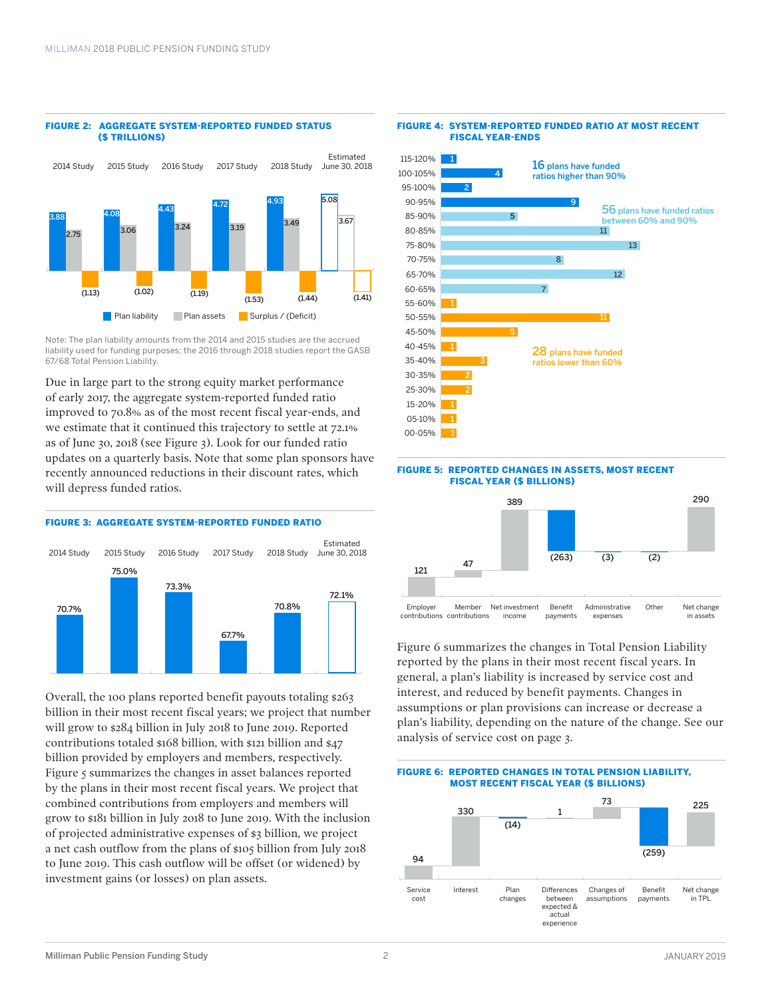#### FIGURE 2: AGGREGATE SYSTEM-REPORTED FUNDED STATUS (\$ TRILLIONS)



Note: The plan liability amounts from the 2014 and 2015 studies are the accrued liability used for funding purposes; the 2016 through 2018 studies report the GASB 67/68 Total Pension Liability.

Due in large part to the strong equity market performance of early 2017, the aggregate system-reported funded ratio improved to 70.8% as of the most recent fiscal year-ends, and we estimate that it continued this trajectory to settle at 72.1% as of June 30, 2018 (see Figure 3). Look for our funded ratio updates on a quarterly basis. Note that some plan sponsors have recently announced reductions in their discount rates, which will depress funded ratios.



Overall, the 100 plans reported benefit payouts totaling \$263 billion in their most recent fiscal years; we project that number will grow to \$284 billion in July 2018 to June 2019. Reported contributions totaled \$168 billion, with \$121 billion and \$47 billion provided by employers and members, respectively. Figure 5 summarizes the changes in asset balances reported by the plans in their most recent fiscal years. We project that combined contributions from employers and members will grow to \$181 billion in July 2018 to June 2019. With the inclusion of projected administrative expenses of \$3 billion, we project a net cash outflow from the plans of \$105 billion from July 2018 to June 2019. This cash outflow will be offset (or widened) by investment gains (or losses) on plan assets.



#### FIGURE 4: SYSTEM-REPORTED FUNDED RATIO AT MOST RECENT FISCAL YEAR-ENDS

#### FIGURE 5: REPORTED CHANGES IN ASSETS, MOST RECENT FISCAL YEAR (\$ BILLIONS)



Figure 6 summarizes the changes in Total Pension Liability reported by the plans in their most recent fiscal years. In general, a plan's liability is increased by service cost and interest, and reduced by benefit payments. Changes in assumptions or plan provisions can increase or decrease a plan's liability, depending on the nature of the change. See our analysis of service cost on page 3.

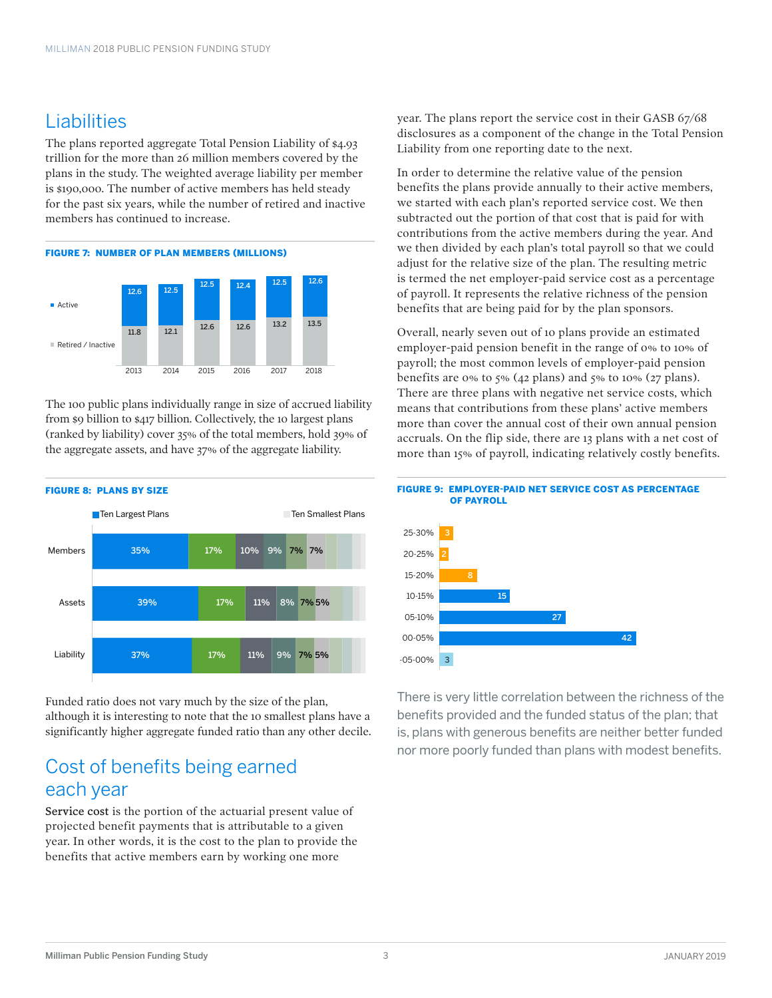### Liabilities

The plans reported aggregate Total Pension Liability of \$4.93 trillion for the more than 26 million members covered by the plans in the study. The weighted average liability per member is \$190,000. The number of active members has held steady for the past six years, while the number of retired and inactive members has continued to increase.



The 100 public plans individually range in size of accrued liability from \$9 billion to \$417 billion. Collectively, the 10 largest plans (ranked by liability) cover 35% of the total members, hold 39% of the aggregate assets, and have 37% of the aggregate liability.



Funded ratio does not vary much by the size of the plan, although it is interesting to note that the 10 smallest plans have a significantly higher aggregate funded ratio than any other decile.

### Cost of benefits being earned each year

Service cost is the portion of the actuarial present value of projected benefit payments that is attributable to a given year. In other words, it is the cost to the plan to provide the benefits that active members earn by working one more

year. The plans report the service cost in their GASB 67/68 disclosures as a component of the change in the Total Pension Liability from one reporting date to the next.

In order to determine the relative value of the pension benefits the plans provide annually to their active members, we started with each plan's reported service cost. We then subtracted out the portion of that cost that is paid for with contributions from the active members during the year. And we then divided by each plan's total payroll so that we could adjust for the relative size of the plan. The resulting metric is termed the net employer-paid service cost as a percentage of payroll. It represents the relative richness of the pension benefits that are being paid for by the plan sponsors.

Overall, nearly seven out of 10 plans provide an estimated employer-paid pension benefit in the range of 0% to 10% of payroll; the most common levels of employer-paid pension benefits are 0% to 5% (42 plans) and 5% to 10% (27 plans). There are three plans with negative net service costs, which means that contributions from these plans' active members more than cover the annual cost of their own annual pension accruals. On the flip side, there are 13 plans with a net cost of more than 15% of payroll, indicating relatively costly benefits.





There is very little correlation between the richness of the benefits provided and the funded status of the plan; that is, plans with generous benefits are neither better funded nor more poorly funded than plans with modest benefits.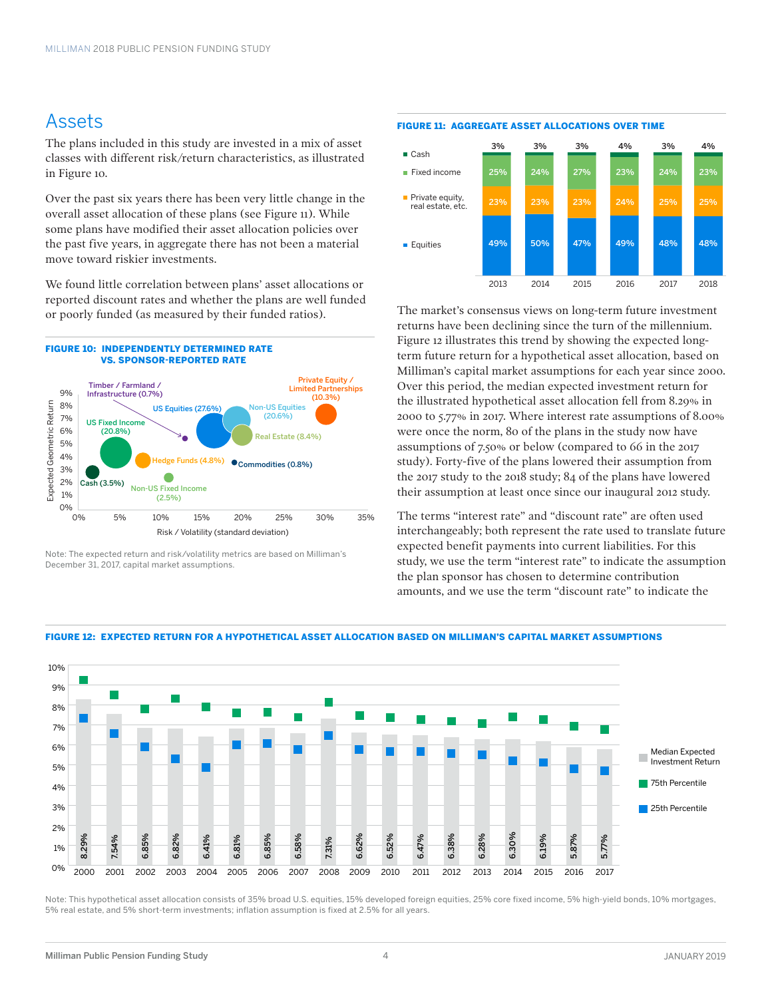### Assets

The plans included in this study are invested in a mix of asset classes with different risk/return characteristics, as illustrated in Figure 10.

Over the past six years there has been very little change in the overall asset allocation of these plans (see Figure 11). While some plans have modified their asset allocation policies over the past five years, in aggregate there has not been a material move toward riskier investments.

We found little correlation between plans' asset allocations or reported discount rates and whether the plans are well funded or poorly funded (as measured by their funded ratios).



Note: The expected return and risk/volatility metrics are based on Milliman's December 31, 2017, capital market assumptions.





The market's consensus views on long-term future investment returns have been declining since the turn of the millennium. Figure 12 illustrates this trend by showing the expected longterm future return for a hypothetical asset allocation, based on Milliman's capital market assumptions for each year since 2000. Over this period, the median expected investment return for the illustrated hypothetical asset allocation fell from 8.29% in 2000 to 5.77% in 2017. Where interest rate assumptions of 8.00% were once the norm, 80 of the plans in the study now have assumptions of 7.50% or below (compared to 66 in the 2017 study). Forty-five of the plans lowered their assumption from the 2017 study to the 2018 study; 84 of the plans have lowered their assumption at least once since our inaugural 2012 study.

The terms "interest rate" and "discount rate" are often used interchangeably; both represent the rate used to translate future expected benefit payments into current liabilities. For this study, we use the term "interest rate" to indicate the assumption the plan sponsor has chosen to determine contribution amounts, and we use the term "discount rate" to indicate the



#### FIGURE 12: EXPECTED RETURN FOR A HYPOTHETICAL ASSET ALLOCATION BASED ON MILLIMAN'S CAPITAL MARKET ASSUMPTIONS

Note: This hypothetical asset allocation consists of 35% broad U.S. equities, 15% developed foreign equities, 25% core fixed income, 5% high-yield bonds, 10% mortgages, 5% real estate, and 5% short-term investments; inflation assumption is fixed at 2.5% for all years.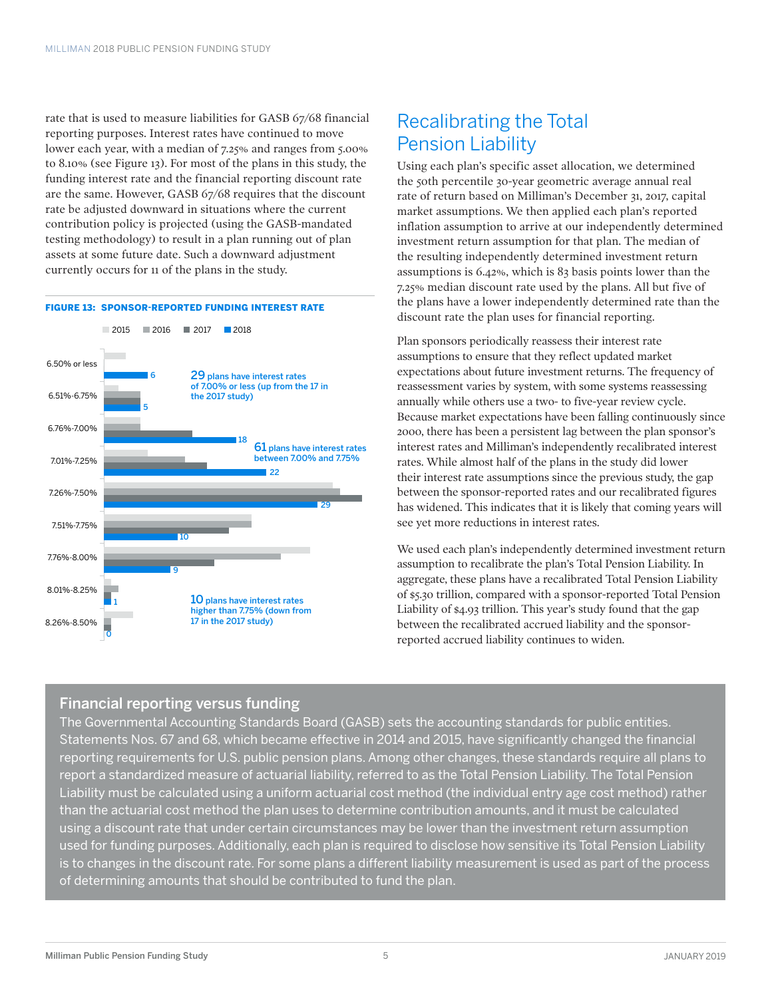rate that is used to measure liabilities for GASB 67/68 financial reporting purposes. Interest rates have continued to move lower each year, with a median of 7.25% and ranges from 5.00% to 8.10% (see Figure 13). For most of the plans in this study, the funding interest rate and the financial reporting discount rate are the same. However, GASB 67/68 requires that the discount rate be adjusted downward in situations where the current contribution policy is projected (using the GASB-mandated testing methodology) to result in a plan running out of plan assets at some future date. Such a downward adjustment currently occurs for 11 of the plans in the study.

#### FIGURE 13: SPONSOR-REPORTED FUNDING INTEREST RATE



### Recalibrating the Total Pension Liability

Using each plan's specific asset allocation, we determined the 50th percentile 30-year geometric average annual real rate of return based on Milliman's December 31, 2017, capital market assumptions. We then applied each plan's reported inflation assumption to arrive at our independently determined investment return assumption for that plan. The median of the resulting independently determined investment return assumptions is 6.42%, which is 83 basis points lower than the 7.25% median discount rate used by the plans. All but five of the plans have a lower independently determined rate than the discount rate the plan uses for financial reporting.

Plan sponsors periodically reassess their interest rate assumptions to ensure that they reflect updated market expectations about future investment returns. The frequency of reassessment varies by system, with some systems reassessing annually while others use a two- to five-year review cycle. Because market expectations have been falling continuously since 2000, there has been a persistent lag between the plan sponsor's interest rates and Milliman's independently recalibrated interest rates. While almost half of the plans in the study did lower their interest rate assumptions since the previous study, the gap between the sponsor-reported rates and our recalibrated figures has widened. This indicates that it is likely that coming years will see yet more reductions in interest rates.

We used each plan's independently determined investment return assumption to recalibrate the plan's Total Pension Liability. In aggregate, these plans have a recalibrated Total Pension Liability of \$5.30 trillion, compared with a sponsor-reported Total Pension Liability of \$4.93 trillion. This year's study found that the gap between the recalibrated accrued liability and the sponsorreported accrued liability continues to widen.

### Financial reporting versus funding

The Governmental Accounting Standards Board (GASB) sets the accounting standards for public entities. Statements Nos. 67 and 68, which became effective in 2014 and 2015, have significantly changed the financial reporting requirements for U.S. public pension plans. Among other changes, these standards require all plans to report a standardized measure of actuarial liability, referred to as the Total Pension Liability. The Total Pension Liability must be calculated using a uniform actuarial cost method (the individual entry age cost method) rather than the actuarial cost method the plan uses to determine contribution amounts, and it must be calculated using a discount rate that under certain circumstances may be lower than the investment return assumption used for funding purposes. Additionally, each plan is required to disclose how sensitive its Total Pension Liability is to changes in the discount rate. For some plans a different liability measurement is used as part of the process of determining amounts that should be contributed to fund the plan.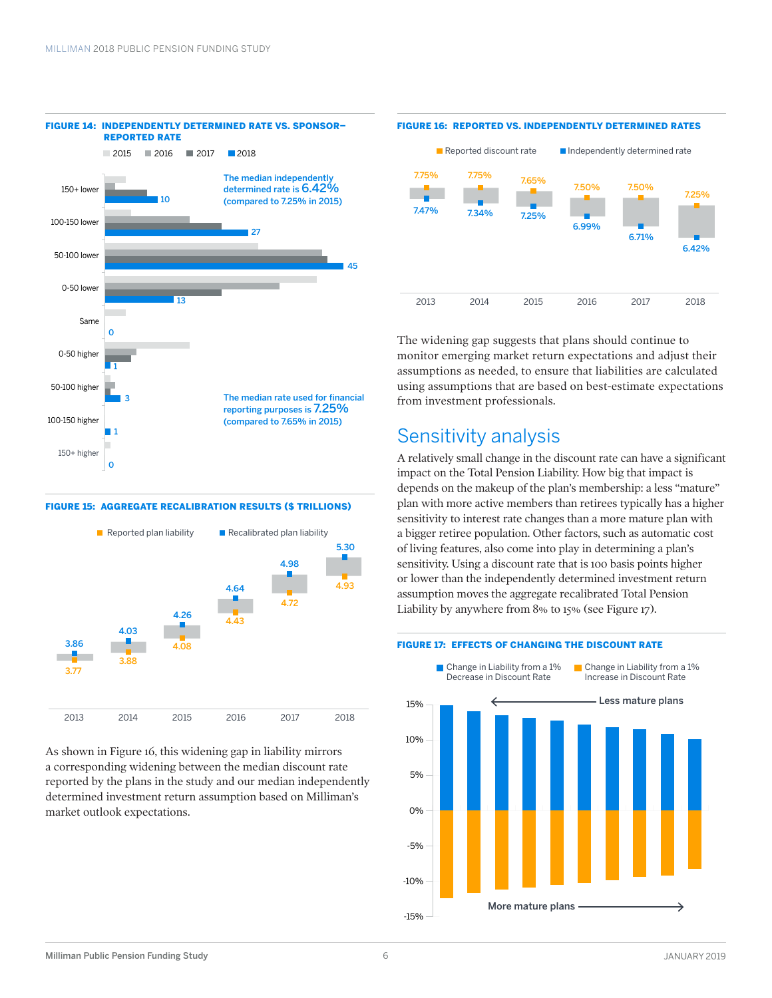

#### FIGURE 15: AGGREGATE RECALIBRATION RESULTS (\$ TRILLIONS)



As shown in Figure 16, this widening gap in liability mirrors a corresponding widening between the median discount rate reported by the plans in the study and our median independently determined investment return assumption based on Milliman's market outlook expectations.

#### FIGURE 16: REPORTED VS. INDEPENDENTLY DETERMINED RATES



The widening gap suggests that plans should continue to monitor emerging market return expectations and adjust their assumptions as needed, to ensure that liabilities are calculated using assumptions that are based on best-estimate expectations from investment professionals.

### Sensitivity analysis

A relatively small change in the discount rate can have a significant impact on the Total Pension Liability. How big that impact is depends on the makeup of the plan's membership: a less "mature" plan with more active members than retirees typically has a higher sensitivity to interest rate changes than a more mature plan with a bigger retiree population. Other factors, such as automatic cost of living features, also come into play in determining a plan's sensitivity. Using a discount rate that is 100 basis points higher or lower than the independently determined investment return assumption moves the aggregate recalibrated Total Pension Liability by anywhere from 8% to 15% (see Figure 17).



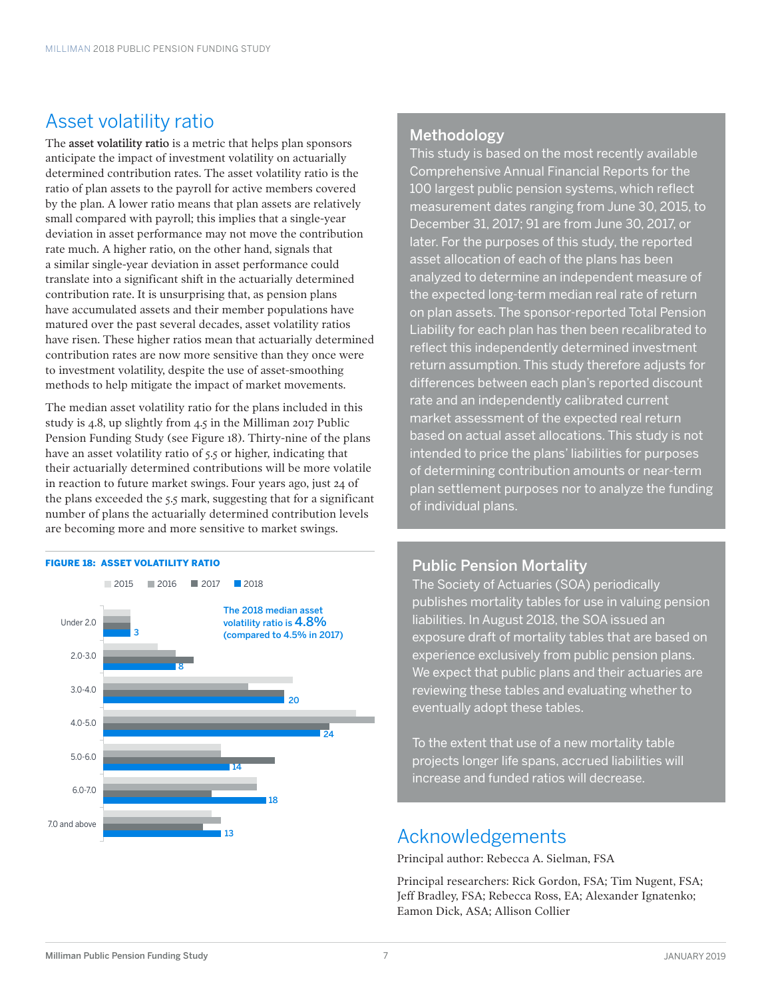### Asset volatility ratio

The asset volatility ratio is a metric that helps plan sponsors anticipate the impact of investment volatility on actuarially determined contribution rates. The asset volatility ratio is the ratio of plan assets to the payroll for active members covered by the plan. A lower ratio means that plan assets are relatively small compared with payroll; this implies that a single-year deviation in asset performance may not move the contribution rate much. A higher ratio, on the other hand, signals that a similar single-year deviation in asset performance could translate into a significant shift in the actuarially determined contribution rate. It is unsurprising that, as pension plans have accumulated assets and their member populations have matured over the past several decades, asset volatility ratios have risen. These higher ratios mean that actuarially determined contribution rates are now more sensitive than they once were to investment volatility, despite the use of asset-smoothing methods to help mitigate the impact of market movements.

The median asset volatility ratio for the plans included in this study is 4.8, up slightly from 4.5 in the Milliman 2017 Public Pension Funding Study (see Figure 18). Thirty-nine of the plans have an asset volatility ratio of 5.5 or higher, indicating that their actuarially determined contributions will be more volatile in reaction to future market swings. Four years ago, just 24 of the plans exceeded the 5.5 mark, suggesting that for a significant number of plans the actuarially determined contribution levels are becoming more and more sensitive to market swings.

#### FIGURE 18: ASSET VOLATILITY RATIO



### Methodology

This study is based on the most recently available Comprehensive Annual Financial Reports for the 100 largest public pension systems, which reflect measurement dates ranging from June 30, 2015, to December 31, 2017; 91 are from June 30, 2017, or later. For the purposes of this study, the reported asset allocation of each of the plans has been analyzed to determine an independent measure of the expected long-term median real rate of return on plan assets. The sponsor-reported Total Pension Liability for each plan has then been recalibrated to reflect this independently determined investment return assumption. This study therefore adjusts for differences between each plan's reported discount rate and an independently calibrated current market assessment of the expected real return based on actual asset allocations. This study is not intended to price the plans' liabilities for purposes of determining contribution amounts or near-term plan settlement purposes nor to analyze the funding of individual plans.

### Public Pension Mortality

The Society of Actuaries (SOA) periodically publishes mortality tables for use in valuing pension liabilities. In August 2018, the SOA issued an exposure draft of mortality tables that are based on experience exclusively from public pension plans. We expect that public plans and their actuaries are reviewing these tables and evaluating whether to eventually adopt these tables.

To the extent that use of a new mortality table projects longer life spans, accrued liabilities will increase and funded ratios will decrease.

### Acknowledgements

Principal author: Rebecca A. Sielman, FSA

Principal researchers: Rick Gordon, FSA; Tim Nugent, FSA; Jeff Bradley, FSA; Rebecca Ross, EA; Alexander Ignatenko; Eamon Dick, ASA; Allison Collier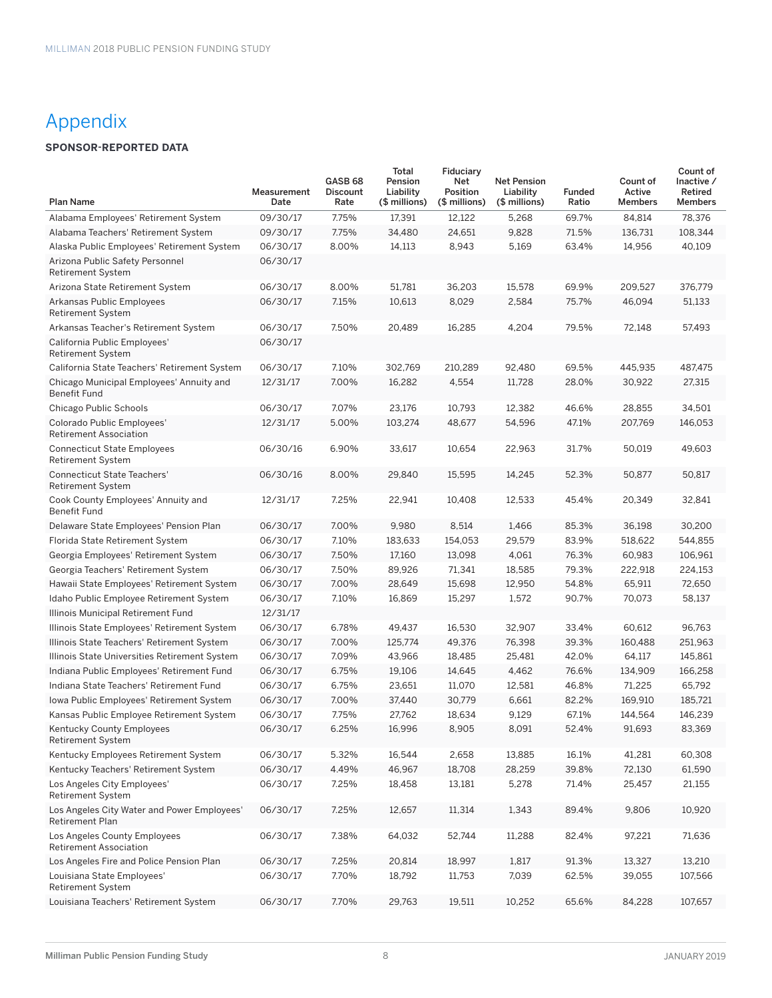### Appendix

### **SPONSOR-REPORTED DATA**

| <b>Plan Name</b>                                               | Measurement<br>Date | GASB <sub>68</sub><br><b>Discount</b><br>Rate | Total<br>Pension<br>Liability<br>(\$ millions) | Fiduciary<br>Net<br>Position<br>(\$ millions) | <b>Net Pension</b><br>Liability<br>(\$ millions) | <b>Funded</b><br>Ratio | Count of<br>Active<br><b>Members</b> | Count of<br>Inactive /<br>Retired<br><b>Members</b> |
|----------------------------------------------------------------|---------------------|-----------------------------------------------|------------------------------------------------|-----------------------------------------------|--------------------------------------------------|------------------------|--------------------------------------|-----------------------------------------------------|
| Alabama Employees' Retirement System                           | 09/30/17            | 7.75%                                         | 17,391                                         | 12,122                                        | 5,268                                            | 69.7%                  | 84,814                               | 78,376                                              |
| Alabama Teachers' Retirement System                            | 09/30/17            | 7.75%                                         | 34,480                                         | 24,651                                        | 9,828                                            | 71.5%                  | 136,731                              | 108,344                                             |
| Alaska Public Employees' Retirement System                     | 06/30/17            | 8.00%                                         | 14,113                                         | 8,943                                         | 5,169                                            | 63.4%                  | 14,956                               | 40,109                                              |
| Arizona Public Safety Personnel<br><b>Retirement System</b>    | 06/30/17            |                                               |                                                |                                               |                                                  |                        |                                      |                                                     |
| Arizona State Retirement System                                | 06/30/17            | 8.00%                                         | 51,781                                         | 36,203                                        | 15,578                                           | 69.9%                  | 209,527                              | 376,779                                             |
| Arkansas Public Employees<br><b>Retirement System</b>          | 06/30/17            | 7.15%                                         | 10,613                                         | 8,029                                         | 2,584                                            | 75.7%                  | 46,094                               | 51,133                                              |
| Arkansas Teacher's Retirement System                           | 06/30/17            | 7.50%                                         | 20,489                                         | 16,285                                        | 4,204                                            | 79.5%                  | 72,148                               | 57,493                                              |
| California Public Employees'<br>Retirement System              | 06/30/17            |                                               |                                                |                                               |                                                  |                        |                                      |                                                     |
| California State Teachers' Retirement System                   | 06/30/17            | 7.10%                                         | 302,769                                        | 210,289                                       | 92,480                                           | 69.5%                  | 445,935                              | 487,475                                             |
| Chicago Municipal Employees' Annuity and<br>Benefit Fund       | 12/31/17            | 7.00%                                         | 16,282                                         | 4,554                                         | 11,728                                           | 28.0%                  | 30,922                               | 27,315                                              |
| Chicago Public Schools                                         | 06/30/17            | 7.07%                                         | 23,176                                         | 10,793                                        | 12,382                                           | 46.6%                  | 28,855                               | 34,501                                              |
| Colorado Public Employees'<br><b>Retirement Association</b>    | 12/31/17            | 5.00%                                         | 103,274                                        | 48,677                                        | 54,596                                           | 47.1%                  | 207,769                              | 146,053                                             |
| <b>Connecticut State Employees</b><br><b>Retirement System</b> | 06/30/16            | 6.90%                                         | 33,617                                         | 10,654                                        | 22,963                                           | 31.7%                  | 50,019                               | 49,603                                              |
| <b>Connecticut State Teachers'</b><br><b>Retirement System</b> | 06/30/16            | 8.00%                                         | 29.840                                         | 15,595                                        | 14,245                                           | 52.3%                  | 50,877                               | 50,817                                              |
| Cook County Employees' Annuity and<br><b>Benefit Fund</b>      | 12/31/17            | 7.25%                                         | 22,941                                         | 10,408                                        | 12,533                                           | 45.4%                  | 20,349                               | 32,841                                              |
| Delaware State Employees' Pension Plan                         | 06/30/17            | 7.00%                                         | 9,980                                          | 8,514                                         | 1,466                                            | 85.3%                  | 36,198                               | 30,200                                              |
| Florida State Retirement System                                | 06/30/17            | 7.10%                                         | 183,633                                        | 154,053                                       | 29,579                                           | 83.9%                  | 518,622                              | 544,855                                             |
| Georgia Employees' Retirement System                           | 06/30/17            | 7.50%                                         | 17,160                                         | 13,098                                        | 4,061                                            | 76.3%                  | 60,983                               | 106,961                                             |
| Georgia Teachers' Retirement System                            | 06/30/17            | 7.50%                                         | 89,926                                         | 71,341                                        | 18,585                                           | 79.3%                  | 222,918                              | 224,153                                             |
| Hawaii State Employees' Retirement System                      | 06/30/17            | 7.00%                                         | 28,649                                         | 15,698                                        | 12,950                                           | 54.8%                  | 65,911                               | 72,650                                              |
| Idaho Public Employee Retirement System                        | 06/30/17            | 7.10%                                         | 16,869                                         | 15,297                                        | 1,572                                            | 90.7%                  | 70,073                               | 58,137                                              |
| Illinois Municipal Retirement Fund                             | 12/31/17            |                                               |                                                |                                               |                                                  |                        |                                      |                                                     |
| Illinois State Employees' Retirement System                    | 06/30/17            | 6.78%                                         | 49,437                                         | 16,530                                        | 32,907                                           | 33.4%                  | 60,612                               | 96,763                                              |
| Illinois State Teachers' Retirement System                     | 06/30/17            | 7.00%                                         | 125,774                                        | 49,376                                        | 76,398                                           | 39.3%                  | 160,488                              | 251,963                                             |
| Illinois State Universities Retirement System                  | 06/30/17            | 7.09%                                         | 43,966                                         | 18,485                                        | 25,481                                           | 42.0%                  | 64,117                               | 145,861                                             |
| Indiana Public Employees' Retirement Fund                      | 06/30/17            | 6.75%                                         | 19,106                                         | 14,645                                        | 4,462                                            | 76.6%                  | 134,909                              | 166,258                                             |
| Indiana State Teachers' Retirement Fund                        | 06/30/17            | 6.75%                                         | 23,651                                         | 11,070                                        | 12,581                                           | 46.8%                  | 71,225                               | 65,792                                              |
| Iowa Public Employees' Retirement System                       | 06/30/17            | 7.00%                                         | 37,440                                         | 30,779                                        | 6,661                                            | 82.2%                  | 169,910                              | 185,721                                             |
| Kansas Public Employee Retirement System                       | 06/30/17            | 7.75%                                         | 27,762                                         | 18,634                                        | 9,129                                            | 67.1%                  | 144,564                              | 146,239                                             |
| Kentucky County Employees<br><b>Retirement System</b>          | 06/30/17            | 6.25%                                         | 16,996                                         | 8,905                                         | 8,091                                            | 52.4%                  | 91,693                               | 83,369                                              |
| Kentucky Employees Retirement System                           | 06/30/17            | 5.32%                                         | 16,544                                         | 2,658                                         | 13,885                                           | 16.1%                  | 41,281                               | 60,308                                              |
| Kentucky Teachers' Retirement System                           | 06/30/17            | 4.49%                                         | 46,967                                         | 18,708                                        | 28,259                                           | 39.8%                  | 72,130                               | 61,590                                              |
| Los Angeles City Employees'<br><b>Retirement System</b>        | 06/30/17            | 7.25%                                         | 18,458                                         | 13,181                                        | 5,278                                            | 71.4%                  | 25,457                               | 21,155                                              |
| Los Angeles City Water and Power Employees'<br>Retirement Plan | 06/30/17            | 7.25%                                         | 12,657                                         | 11,314                                        | 1,343                                            | 89.4%                  | 9,806                                | 10,920                                              |
| Los Angeles County Employees<br><b>Retirement Association</b>  | 06/30/17            | 7.38%                                         | 64,032                                         | 52,744                                        | 11,288                                           | 82.4%                  | 97,221                               | 71,636                                              |
| Los Angeles Fire and Police Pension Plan                       | 06/30/17            | 7.25%                                         | 20,814                                         | 18,997                                        | 1,817                                            | 91.3%                  | 13,327                               | 13,210                                              |
| Louisiana State Employees'<br><b>Retirement System</b>         | 06/30/17            | 7.70%                                         | 18,792                                         | 11,753                                        | 7,039                                            | 62.5%                  | 39,055                               | 107,566                                             |
| Louisiana Teachers' Retirement System                          | 06/30/17            | 7.70%                                         | 29,763                                         | 19,511                                        | 10,252                                           | 65.6%                  | 84,228                               | 107,657                                             |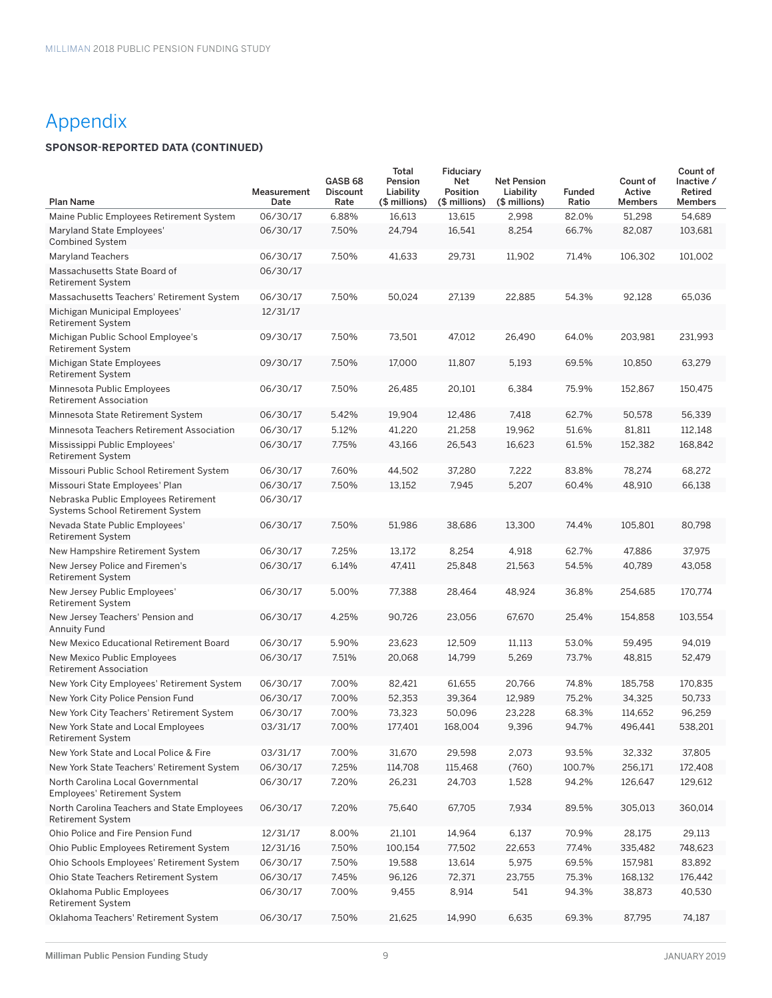### Appendix

### **SPONSOR-REPORTED DATA (CONTINUED)**

| <b>Plan Name</b>                                                         | Measurement<br>Date | GASB <sub>68</sub><br><b>Discount</b><br>Rate | Total<br>Pension<br>Liability<br>(\$ millions) | Fiduciary<br>Net<br>Position<br>(\$ millions) | <b>Net Pension</b><br>Liability<br>(\$ millions) | <b>Funded</b><br>Ratio | Count of<br>Active<br><b>Members</b> | Count of<br>Inactive /<br>Retired<br><b>Members</b> |
|--------------------------------------------------------------------------|---------------------|-----------------------------------------------|------------------------------------------------|-----------------------------------------------|--------------------------------------------------|------------------------|--------------------------------------|-----------------------------------------------------|
| Maine Public Employees Retirement System                                 | 06/30/17            | 6.88%                                         | 16,613                                         | 13,615                                        | 2,998                                            | 82.0%                  | 51,298                               | 54,689                                              |
| Maryland State Employees'<br><b>Combined System</b>                      | 06/30/17            | 7.50%                                         | 24,794                                         | 16,541                                        | 8,254                                            | 66.7%                  | 82,087                               | 103,681                                             |
| <b>Maryland Teachers</b>                                                 | 06/30/17            | 7.50%                                         | 41,633                                         | 29,731                                        | 11,902                                           | 71.4%                  | 106,302                              | 101,002                                             |
| Massachusetts State Board of<br><b>Retirement System</b>                 | 06/30/17            |                                               |                                                |                                               |                                                  |                        |                                      |                                                     |
| Massachusetts Teachers' Retirement System                                | 06/30/17            | 7.50%                                         | 50,024                                         | 27,139                                        | 22,885                                           | 54.3%                  | 92,128                               | 65,036                                              |
| Michigan Municipal Employees'<br><b>Retirement System</b>                | 12/31/17            |                                               |                                                |                                               |                                                  |                        |                                      |                                                     |
| Michigan Public School Employee's<br><b>Retirement System</b>            | 09/30/17            | 7.50%                                         | 73,501                                         | 47,012                                        | 26,490                                           | 64.0%                  | 203,981                              | 231,993                                             |
| Michigan State Employees<br><b>Retirement System</b>                     | 09/30/17            | 7.50%                                         | 17,000                                         | 11,807                                        | 5,193                                            | 69.5%                  | 10,850                               | 63,279                                              |
| Minnesota Public Employees<br>Retirement Association                     | 06/30/17            | 7.50%                                         | 26,485                                         | 20,101                                        | 6,384                                            | 75.9%                  | 152,867                              | 150,475                                             |
| Minnesota State Retirement System                                        | 06/30/17            | 5.42%                                         | 19,904                                         | 12,486                                        | 7,418                                            | 62.7%                  | 50,578                               | 56,339                                              |
| Minnesota Teachers Retirement Association                                | 06/30/17            | 5.12%                                         | 41,220                                         | 21,258                                        | 19,962                                           | 51.6%                  | 81,811                               | 112.148                                             |
| Mississippi Public Employees'<br><b>Retirement System</b>                | 06/30/17            | 7.75%                                         | 43,166                                         | 26,543                                        | 16,623                                           | 61.5%                  | 152,382                              | 168,842                                             |
| Missouri Public School Retirement System                                 | 06/30/17            | 7.60%                                         | 44,502                                         | 37,280                                        | 7,222                                            | 83.8%                  | 78,274                               | 68,272                                              |
| Missouri State Employees' Plan                                           | 06/30/17            | 7.50%                                         | 13,152                                         | 7,945                                         | 5,207                                            | 60.4%                  | 48,910                               | 66,138                                              |
| Nebraska Public Employees Retirement<br>Systems School Retirement System | 06/30/17            |                                               |                                                |                                               |                                                  |                        |                                      |                                                     |
| Nevada State Public Employees'<br><b>Retirement System</b>               | 06/30/17            | 7.50%                                         | 51,986                                         | 38,686                                        | 13,300                                           | 74.4%                  | 105,801                              | 80,798                                              |
| New Hampshire Retirement System                                          | 06/30/17            | 7.25%                                         | 13,172                                         | 8,254                                         | 4,918                                            | 62.7%                  | 47,886                               | 37,975                                              |
| New Jersey Police and Firemen's<br><b>Retirement System</b>              | 06/30/17            | 6.14%                                         | 47,411                                         | 25,848                                        | 21,563                                           | 54.5%                  | 40,789                               | 43,058                                              |
| New Jersey Public Employees'<br><b>Retirement System</b>                 | 06/30/17            | 5.00%                                         | 77,388                                         | 28,464                                        | 48,924                                           | 36.8%                  | 254,685                              | 170,774                                             |
| New Jersey Teachers' Pension and<br>Annuity Fund                         | 06/30/17            | 4.25%                                         | 90,726                                         | 23,056                                        | 67,670                                           | 25.4%                  | 154,858                              | 103,554                                             |
| New Mexico Educational Retirement Board                                  | 06/30/17            | 5.90%                                         | 23,623                                         | 12,509                                        | 11,113                                           | 53.0%                  | 59,495                               | 94,019                                              |
| New Mexico Public Employees<br><b>Retirement Association</b>             | 06/30/17            | 7.51%                                         | 20,068                                         | 14,799                                        | 5,269                                            | 73.7%                  | 48,815                               | 52,479                                              |
| New York City Employees' Retirement System                               | 06/30/17            | 7.00%                                         | 82,421                                         | 61,655                                        | 20,766                                           | 74.8%                  | 185,758                              | 170,835                                             |
| New York City Police Pension Fund                                        | 06/30/17            | 7.00%                                         | 52,353                                         | 39,364                                        | 12,989                                           | 75.2%                  | 34,325                               | 50,733                                              |
| New York City Teachers' Retirement System                                | 06/30/17            | 7.00%                                         | 73,323                                         | 50,096                                        | 23,228                                           | 68.3%                  | 114,652                              | 96,259                                              |
| New York State and Local Employees<br><b>Retirement System</b>           | 03/31/17            | 7.00%                                         | 177,401                                        | 168,004                                       | 9,396                                            | 94.7%                  | 496,441                              | 538.201                                             |
| New York State and Local Police & Fire                                   | 03/31/17            | 7.00%                                         | 31,670                                         | 29,598                                        | 2,073                                            | 93.5%                  | 32,332                               | 37,805                                              |
| New York State Teachers' Retirement System                               | 06/30/17            | 7.25%                                         | 114,708                                        | 115,468                                       | (760)                                            | 100.7%                 | 256,171                              | 172,408                                             |
| North Carolina Local Governmental<br><b>Employees' Retirement System</b> | 06/30/17            | 7.20%                                         | 26,231                                         | 24,703                                        | 1,528                                            | 94.2%                  | 126,647                              | 129,612                                             |
| North Carolina Teachers and State Employees<br>Retirement System         | 06/30/17            | 7.20%                                         | 75,640                                         | 67,705                                        | 7,934                                            | 89.5%                  | 305,013                              | 360,014                                             |
| Ohio Police and Fire Pension Fund                                        | 12/31/17            | 8.00%                                         | 21,101                                         | 14,964                                        | 6,137                                            | 70.9%                  | 28,175                               | 29,113                                              |
| Ohio Public Employees Retirement System                                  | 12/31/16            | 7.50%                                         | 100,154                                        | 77,502                                        | 22,653                                           | 77.4%                  | 335,482                              | 748,623                                             |
| Ohio Schools Employees' Retirement System                                | 06/30/17            | 7.50%                                         | 19,588                                         | 13,614                                        | 5,975                                            | 69.5%                  | 157,981                              | 83,892                                              |
| Ohio State Teachers Retirement System                                    | 06/30/17            | 7.45%                                         | 96,126                                         | 72,371                                        | 23,755                                           | 75.3%                  | 168,132                              | 176,442                                             |
| Oklahoma Public Employees<br>Retirement System                           | 06/30/17            | 7.00%                                         | 9,455                                          | 8,914                                         | 541                                              | 94.3%                  | 38,873                               | 40,530                                              |
| Oklahoma Teachers' Retirement System                                     | 06/30/17            | 7.50%                                         | 21,625                                         | 14,990                                        | 6,635                                            | 69.3%                  | 87,795                               | 74,187                                              |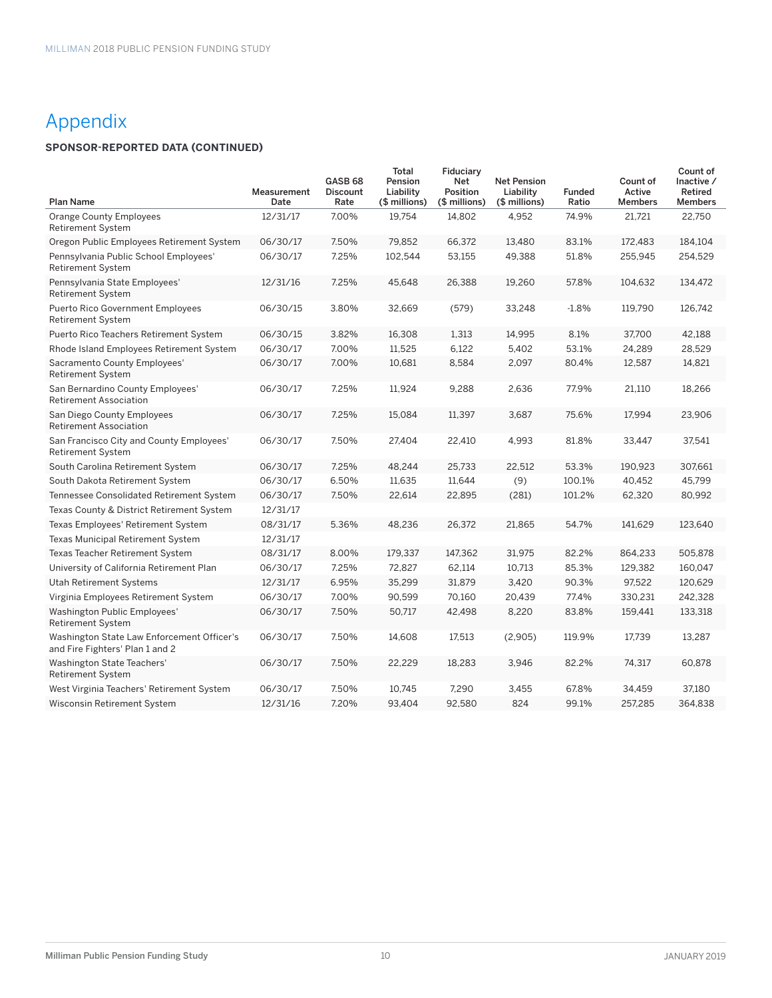## Appendix

### **SPONSOR-REPORTED DATA (CONTINUED)**

| <b>Plan Name</b>                                                              | Measurement<br>Date | GASB <sub>68</sub><br><b>Discount</b><br>Rate | Total<br>Pension<br>Liability<br>(\$ millions) | Fiduciary<br>Net<br>Position<br>(\$ millions) | <b>Net Pension</b><br>Liability<br>(\$ millions) | <b>Funded</b><br>Ratio | Count of<br>Active<br><b>Members</b> | Count of<br>Inactive /<br>Retired<br><b>Members</b> |
|-------------------------------------------------------------------------------|---------------------|-----------------------------------------------|------------------------------------------------|-----------------------------------------------|--------------------------------------------------|------------------------|--------------------------------------|-----------------------------------------------------|
| <b>Orange County Employees</b><br><b>Retirement System</b>                    | 12/31/17            | 7.00%                                         | 19.754                                         | 14.802                                        | 4,952                                            | 74.9%                  | 21.721                               | 22.750                                              |
| Oregon Public Employees Retirement System                                     | 06/30/17            | 7.50%                                         | 79,852                                         | 66,372                                        | 13,480                                           | 83.1%                  | 172,483                              | 184,104                                             |
| Pennsylvania Public School Employees'<br><b>Retirement System</b>             | 06/30/17            | 7.25%                                         | 102,544                                        | 53,155                                        | 49,388                                           | 51.8%                  | 255,945                              | 254,529                                             |
| Pennsylvania State Employees'<br><b>Retirement System</b>                     | 12/31/16            | 7.25%                                         | 45,648                                         | 26,388                                        | 19,260                                           | 57.8%                  | 104,632                              | 134,472                                             |
| <b>Puerto Rico Government Employees</b><br><b>Retirement System</b>           | 06/30/15            | 3.80%                                         | 32,669                                         | (579)                                         | 33,248                                           | $-1.8%$                | 119,790                              | 126,742                                             |
| Puerto Rico Teachers Retirement System                                        | 06/30/15            | 3.82%                                         | 16,308                                         | 1,313                                         | 14,995                                           | 8.1%                   | 37,700                               | 42,188                                              |
| Rhode Island Employees Retirement System                                      | 06/30/17            | 7.00%                                         | 11,525                                         | 6,122                                         | 5,402                                            | 53.1%                  | 24,289                               | 28,529                                              |
| Sacramento County Employees'<br><b>Retirement System</b>                      | 06/30/17            | 7.00%                                         | 10,681                                         | 8,584                                         | 2,097                                            | 80.4%                  | 12,587                               | 14,821                                              |
| San Bernardino County Employees'<br><b>Retirement Association</b>             | 06/30/17            | 7.25%                                         | 11,924                                         | 9,288                                         | 2,636                                            | 77.9%                  | 21,110                               | 18,266                                              |
| San Diego County Employees<br><b>Retirement Association</b>                   | 06/30/17            | 7.25%                                         | 15,084                                         | 11,397                                        | 3,687                                            | 75.6%                  | 17,994                               | 23,906                                              |
| San Francisco City and County Employees'<br><b>Retirement System</b>          | 06/30/17            | 7.50%                                         | 27,404                                         | 22,410                                        | 4,993                                            | 81.8%                  | 33,447                               | 37,541                                              |
| South Carolina Retirement System                                              | 06/30/17            | 7.25%                                         | 48,244                                         | 25,733                                        | 22,512                                           | 53.3%                  | 190,923                              | 307,661                                             |
| South Dakota Retirement System                                                | 06/30/17            | 6.50%                                         | 11,635                                         | 11,644                                        | (9)                                              | 100.1%                 | 40,452                               | 45,799                                              |
| <b>Tennessee Consolidated Retirement System</b>                               | 06/30/17            | 7.50%                                         | 22,614                                         | 22,895                                        | (281)                                            | 101.2%                 | 62,320                               | 80,992                                              |
| Texas County & District Retirement System                                     | 12/31/17            |                                               |                                                |                                               |                                                  |                        |                                      |                                                     |
| Texas Employees' Retirement System                                            | 08/31/17            | 5.36%                                         | 48,236                                         | 26,372                                        | 21,865                                           | 54.7%                  | 141,629                              | 123,640                                             |
| Texas Municipal Retirement System                                             | 12/31/17            |                                               |                                                |                                               |                                                  |                        |                                      |                                                     |
| Texas Teacher Retirement System                                               | 08/31/17            | 8.00%                                         | 179,337                                        | 147,362                                       | 31,975                                           | 82.2%                  | 864,233                              | 505,878                                             |
| University of California Retirement Plan                                      | 06/30/17            | 7.25%                                         | 72,827                                         | 62,114                                        | 10,713                                           | 85.3%                  | 129,382                              | 160,047                                             |
| Utah Retirement Systems                                                       | 12/31/17            | 6.95%                                         | 35,299                                         | 31,879                                        | 3,420                                            | 90.3%                  | 97,522                               | 120,629                                             |
| Virginia Employees Retirement System                                          | 06/30/17            | 7.00%                                         | 90,599                                         | 70,160                                        | 20,439                                           | 77.4%                  | 330,231                              | 242,328                                             |
| Washington Public Employees'<br><b>Retirement System</b>                      | 06/30/17            | 7.50%                                         | 50,717                                         | 42,498                                        | 8,220                                            | 83.8%                  | 159,441                              | 133,318                                             |
| Washington State Law Enforcement Officer's<br>and Fire Fighters' Plan 1 and 2 | 06/30/17            | 7.50%                                         | 14,608                                         | 17,513                                        | (2,905)                                          | 119.9%                 | 17,739                               | 13,287                                              |
| Washington State Teachers'<br><b>Retirement System</b>                        | 06/30/17            | 7.50%                                         | 22,229                                         | 18,283                                        | 3,946                                            | 82.2%                  | 74,317                               | 60,878                                              |
| West Virginia Teachers' Retirement System                                     | 06/30/17            | 7.50%                                         | 10,745                                         | 7,290                                         | 3,455                                            | 67.8%                  | 34,459                               | 37,180                                              |
| Wisconsin Retirement System                                                   | 12/31/16            | 7.20%                                         | 93,404                                         | 92,580                                        | 824                                              | 99.1%                  | 257,285                              | 364,838                                             |